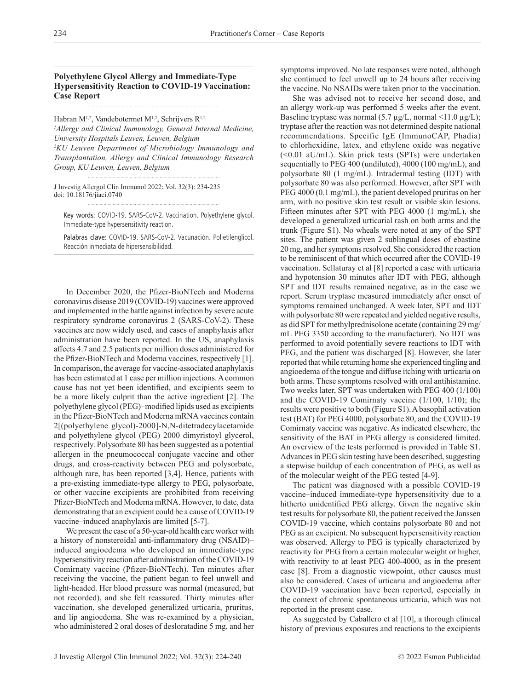# **Polyethylene Glycol Allergy and Immediate-Type Hypersensitivity Reaction to COVID-19 Vaccination: Case Report**

Habran M<sup>1,2</sup>, Vandebotermet M<sup>1,2</sup>, Schrijvers R<sup>1,2</sup> *1 Allergy and Clinical Immunology, General Internal Medicine, University Hospitals Leuven, Leuven, Belgium 2 KU Leuven Department of Microbiology Immunology and Transplantation, Allergy and Clinical Immunology Research Group, KU Leuven, Leuven, Belgium*

J Investig Allergol Clin Immunol 2022; Vol. 32(3): 234-235 doi: 10.18176/jiaci.0740

Key words: COVID-19. SARS-CoV-2. Vaccination. Polyethylene glycol. Immediate-type hypersensitivity reaction.

Palabras clave: COVID-19. SARS-CoV-2. Vacunación. Polietilenglicol. Reacción inmediata de hipersensibilidad.

In December 2020, the Pfizer-BioNTech and Moderna coronavirus disease 2019 (COVID-19) vaccines were approved and implemented in the battle against infection by severe acute respiratory syndrome coronavirus 2 (SARS-CoV-2). These vaccines are now widely used, and cases of anaphylaxis after administration have been reported. In the US, anaphylaxis affects 4.7 and 2.5 patients per million doses administered for the Pfizer-BioNTech and Moderna vaccines, respectively [1]. In comparison, the average for vaccine-associated anaphylaxis has been estimated at 1 case per million injections. A common cause has not yet been identified, and excipients seem to be a more likely culprit than the active ingredient [2]. The polyethylene glycol (PEG)–modified lipids used as excipients in the Pfizer-BioNTech and Moderna mRNA vaccines contain 2[(polyethylene glycol)-2000]-N,N-ditetradecylacetamide and polyethylene glycol (PEG) 2000 dimyristoyl glycerol, respectively. Polysorbate 80 has been suggested as a potential allergen in the pneumococcal conjugate vaccine and other drugs, and cross-reactivity between PEG and polysorbate, although rare, has been reported [3,4]. Hence, patients with a pre-existing immediate-type allergy to PEG, polysorbate, or other vaccine excipients are prohibited from receiving Pfizer-BioNTech and Moderna mRNA. However, to date, data demonstrating that an excipient could be a cause of COVID-19 vaccine–induced anaphylaxis are limited [5-7].

We present the case of a 50-year-old health care worker with a history of nonsteroidal anti-inflammatory drug (NSAID)– induced angioedema who developed an immediate-type hypersensitivity reaction after administration of the COVID-19 Comirnaty vaccine (Pfizer-BioNTech). Ten minutes after receiving the vaccine, the patient began to feel unwell and light-headed. Her blood pressure was normal (measured, but not recorded), and she felt reassured. Thirty minutes after vaccination, she developed generalized urticaria, pruritus, and lip angioedema. She was re-examined by a physician, who administered 2 oral doses of desloratadine 5 mg, and her symptoms improved. No late responses were noted, although she continued to feel unwell up to 24 hours after receiving the vaccine. No NSAIDs were taken prior to the vaccination.

She was advised not to receive her second dose, and an allergy work-up was performed 5 weeks after the event. Baseline tryptase was normal  $(5.7 \mu g/L,$  normal  $\langle 11.0 \mu g/L \rangle$ ; tryptase after the reaction was not determined despite national recommendations. Specific IgE (ImmunoCAP, Phadia) to chlorhexidine, latex, and ethylene oxide was negative (<0.01 aU/mL). Skin prick tests (SPTs) were undertaken sequentially to PEG 400 (undiluted), 4000 (100 mg/mL), and polysorbate 80 (1 mg/mL). Intradermal testing (IDT) with polysorbate 80 was also performed. However, after SPT with PEG 4000 (0.1 mg/mL), the patient developed pruritus on her arm, with no positive skin test result or visible skin lesions. Fifteen minutes after SPT with PEG 4000 (1 mg/mL), she developed a generalized urticarial rash on both arms and the trunk (Figure S1). No wheals were noted at any of the SPT sites. The patient was given 2 sublingual doses of ebastine 20 mg, and her symptoms resolved. She considered the reaction to be reminiscent of that which occurred after the COVID-19 vaccination. Sellaturay et al [8] reported a case with urticaria and hypotension 30 minutes after IDT with PEG, although SPT and IDT results remained negative, as in the case we report. Serum tryptase measured immediately after onset of symptoms remained unchanged. A week later, SPT and IDT with polysorbate 80 were repeated and yielded negative results, as did SPT for methylprednisolone acetate (containing 29 mg/ mL PEG 3350 according to the manufacturer). No IDT was performed to avoid potentially severe reactions to IDT with PEG, and the patient was discharged [8]. However, she later reported that while returning home she experienced tingling and angioedema of the tongue and diffuse itching with urticaria on both arms. These symptoms resolved with oral antihistamine. Two weeks later, SPT was undertaken with PEG 400 (1/100) and the COVID-19 Comirnaty vaccine (1/100, 1/10); the results were positive to both (Figure S1). A basophil activation test (BAT) for PEG 4000, polysorbate 80, and the COVID-19 Comirnaty vaccine was negative. As indicated elsewhere, the sensitivity of the BAT in PEG allergy is considered limited. An overview of the tests performed is provided in Table S1. Advances in PEG skin testing have been described, suggesting a stepwise buildup of each concentration of PEG, as well as of the molecular weight of the PEG tested [4-9].

The patient was diagnosed with a possible COVID-19 vaccine–induced immediate-type hypersensitivity due to a hitherto unidentified PEG allergy. Given the negative skin test results for polysorbate 80, the patient received the Janssen COVID-19 vaccine, which contains polysorbate 80 and not PEG as an excipient. No subsequent hypersensitivity reaction was observed. Allergy to PEG is typically characterized by reactivity for PEG from a certain molecular weight or higher, with reactivity to at least PEG 400-4000, as in the present case [8]. From a diagnostic viewpoint, other causes must also be considered. Cases of urticaria and angioedema after COVID-19 vaccination have been reported, especially in the context of chronic spontaneous urticaria, which was not reported in the present case.

As suggested by Caballero et al [10], a thorough clinical history of previous exposures and reactions to the excipients